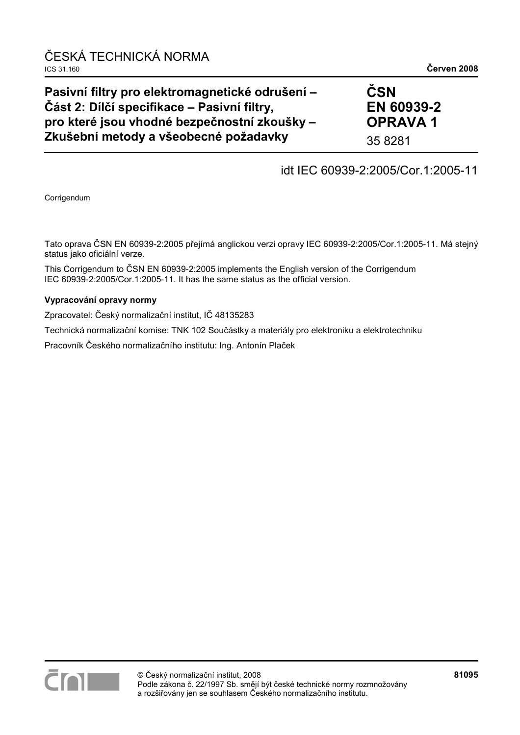# **Pasivní filtry pro elektromagnetické odrušení – ýást 2: Dílþí specifikace – Pasivní filtry, pro které jsou vhodné bezpeþnostní zkoušky – Zkušební metody a všeobecné požadavky**

# $\check{\mathbf{C}}$ **SN EN 60939-2 OPRAVA 1**

35 8281

# idt IEC 60939-2:2005/Cor.1:2005-11

Corrigendum

Tato oprava ČSN EN 60939-2:2005 přejímá anglickou verzi opravy IEC 60939-2:2005/Cor.1:2005-11. Má stejný status jako oficiální verze.

This Corrigendum to ČSN EN 60939-2:2005 implements the English version of the Corrigendum IEC 60939-2:2005/Cor.1:2005-11. It has the same status as the official version.

## **Vypracování opravy normy**

Zpracovatel: Český normalizační institut, IČ 48135283

Technická normalizační komise: TNK 102 Součástky a materiály pro elektroniku a elektrotechniku

Pracovník Českého normalizačního institutu: Ing. Antonín Plaček

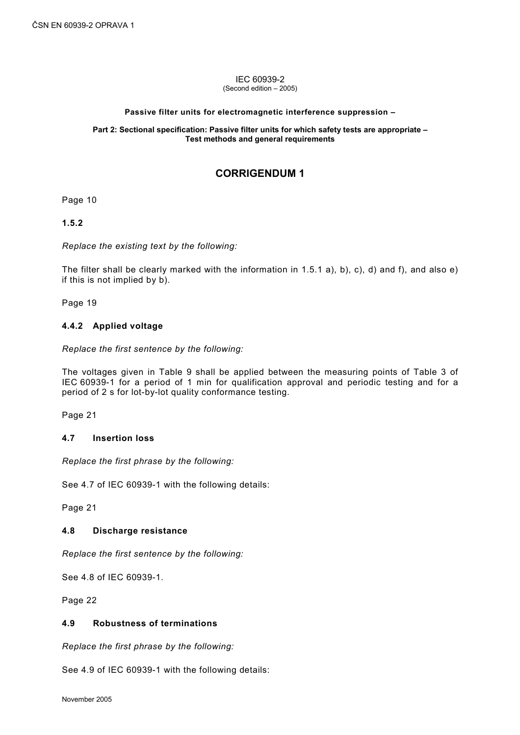#### IEC 60939-2 (Second edition – 2005)

#### **Passive filter units for electromagnetic interference suppression –**

#### **Part 2: Sectional specification: Passive filter units for which safety tests are appropriate – Test methods and general requirements**

# **CORRIGENDUM 1**

Page 10

**1.5.2** 

*Replace the existing text by the following:* 

The filter shall be clearly marked with the information in 1.5.1 a), b), c), d) and f), and also e) if this is not implied by b).

Page 19

#### **4.4.2 Applied voltage**

*Replace the first sentence by the following:* 

The voltages given in Table 9 shall be applied between the measuring points of Table 3 of IEC 60939-1 for a period of 1 min for qualification approval and periodic testing and for a period of 2 s for lot-by-lot quality conformance testing.

Page 21

#### **4.7 Insertion loss**

*Replace the first phrase by the following:* 

See 4.7 of IEC 60939-1 with the following details:

Page 21

#### **4.8 Discharge resistance**

*Replace the first sentence by the following:* 

See 4.8 of IEC 60939-1.

Page 22

#### **4.9 Robustness of terminations**

*Replace the first phrase by the following:* 

See 4.9 of IEC 60939-1 with the following details: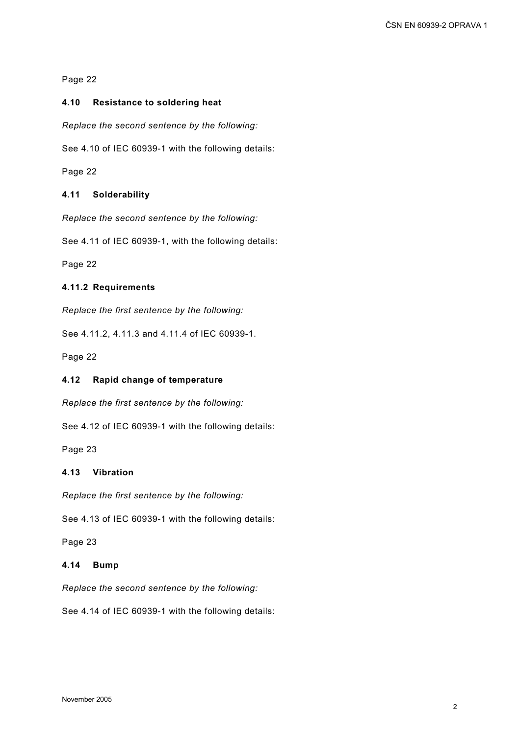## **4.10 Resistance to soldering heat**

*Replace the second sentence by the following:* 

See 4.10 of IEC 60939-1 with the following details:

Page 22

## **4.11 Solderability**

*Replace the second sentence by the following:* 

See 4.11 of IEC 60939-1, with the following details:

Page 22

## **4.11.2 Requirements**

*Replace the first sentence by the following:* 

See 4.11.2, 4.11.3 and 4.11.4 of IEC 60939-1.

Page 22

#### **4.12 Rapid change of temperature**

*Replace the first sentence by the following:* 

See 4.12 of IEC 60939-1 with the following details:

Page 23

#### **4.13 Vibration**

*Replace the first sentence by the following:* 

See 4.13 of IEC 60939-1 with the following details:

Page 23

## **4.14 Bump**

*Replace the second sentence by the following:* 

See 4.14 of IEC 60939-1 with the following details: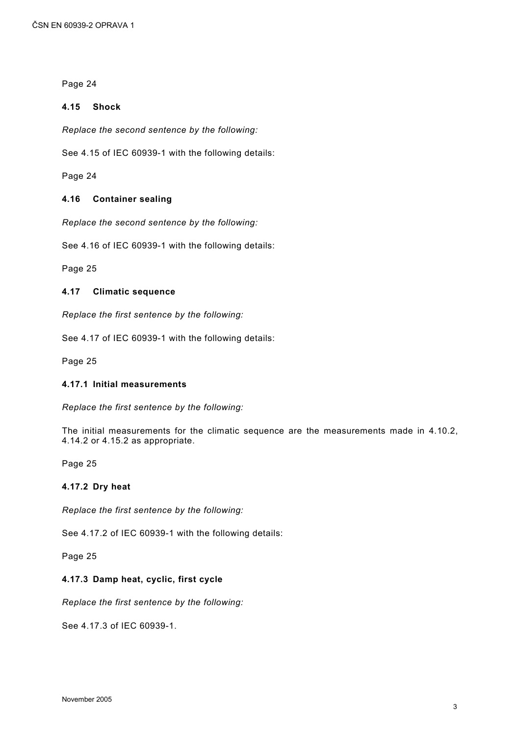#### **4.15 Shock**

*Replace the second sentence by the following:* 

See 4.15 of IEC 60939-1 with the following details:

Page 24

#### **4.16 Container sealing**

*Replace the second sentence by the following:* 

See 4.16 of IEC 60939-1 with the following details:

Page 25

#### **4.17 Climatic sequence**

*Replace the first sentence by the following:* 

See 4.17 of IEC 60939-1 with the following details:

Page 25

#### **4.17.1 Initial measurements**

*Replace the first sentence by the following:* 

The initial measurements for the climatic sequence are the measurements made in 4.10.2, 4.14.2 or 4.15.2 as appropriate.

Page 25

#### **4.17.2 Dry heat**

*Replace the first sentence by the following:* 

See 4.17.2 of IEC 60939-1 with the following details:

Page 25

#### **4.17.3 Damp heat, cyclic, first cycle**

*Replace the first sentence by the following:* 

See 4.17.3 of IEC 60939-1.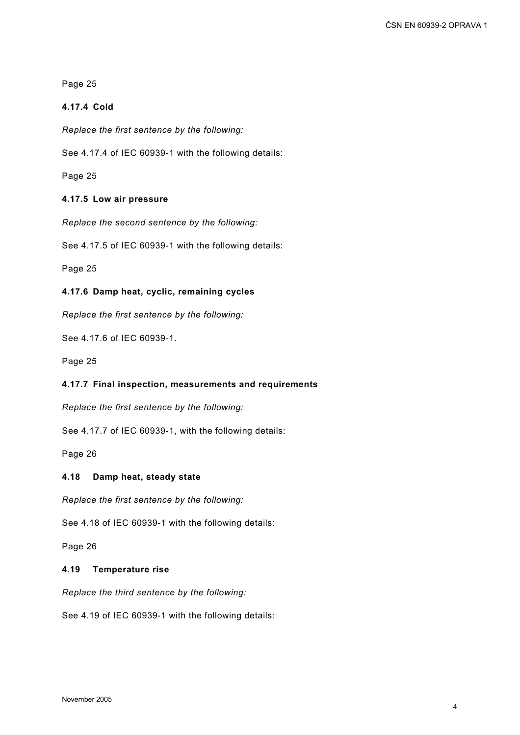## **4.17.4 Cold**

*Replace the first sentence by the following:* 

See 4.17.4 of IEC 60939-1 with the following details:

Page 25

## **4.17.5 Low air pressure**

*Replace the second sentence by the following:* 

See 4.17.5 of IEC 60939-1 with the following details:

Page 25

## **4.17.6 Damp heat, cyclic, remaining cycles**

*Replace the first sentence by the following:* 

See 4.17.6 of IEC 60939-1.

Page 25

#### **4.17.7 Final inspection, measurements and requirements**

*Replace the first sentence by the following:* 

See 4.17.7 of IEC 60939-1, with the following details:

Page 26

#### **4.18 Damp heat, steady state**

*Replace the first sentence by the following:* 

See 4.18 of IEC 60939-1 with the following details:

Page 26

#### **4.19 Temperature rise**

*Replace the third sentence by the following:* 

See 4.19 of IEC 60939-1 with the following details: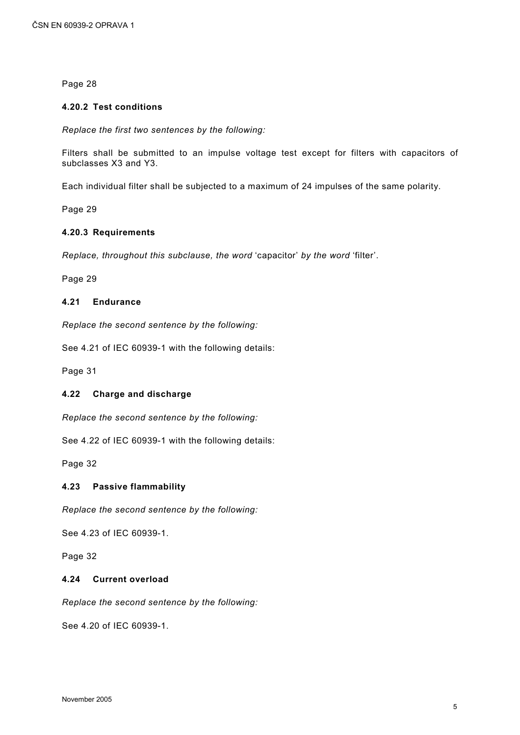#### **4.20.2 Test conditions**

*Replace the first two sentences by the following:* 

Filters shall be submitted to an impulse voltage test except for filters with capacitors of subclasses X3 and Y3.

Each individual filter shall be subjected to a maximum of 24 impulses of the same polarity.

Page 29

#### **4.20.3 Requirements**

*Replace, throughout this subclause, the word* 'capacitor' *by the word* 'filter'.

Page 29

#### **4.21 Endurance**

*Replace the second sentence by the following:* 

See 4.21 of IEC 60939-1 with the following details:

Page 31

#### **4.22 Charge and discharge**

*Replace the second sentence by the following:* 

See 4.22 of IEC 60939-1 with the following details:

Page 32

#### **4.23 Passive flammability**

*Replace the second sentence by the following:* 

See 4.23 of IEC 60939-1.

Page 32

#### **4.24 Current overload**

*Replace the second sentence by the following:* 

See 4.20 of IEC 60939-1.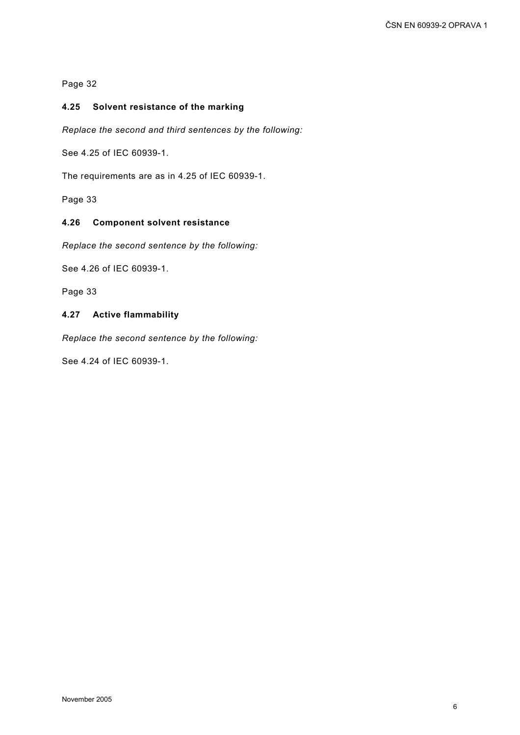## **4.25 Solvent resistance of the marking**

*Replace the second and third sentences by the following:* 

See 4.25 of IEC 60939-1.

The requirements are as in 4.25 of IEC 60939-1.

Page 33

#### **4.26 Component solvent resistance**

*Replace the second sentence by the following:* 

See 4.26 of IEC 60939-1.

Page 33

#### **4.27 Active flammability**

*Replace the second sentence by the following:* 

See 4.24 of IEC 60939-1.